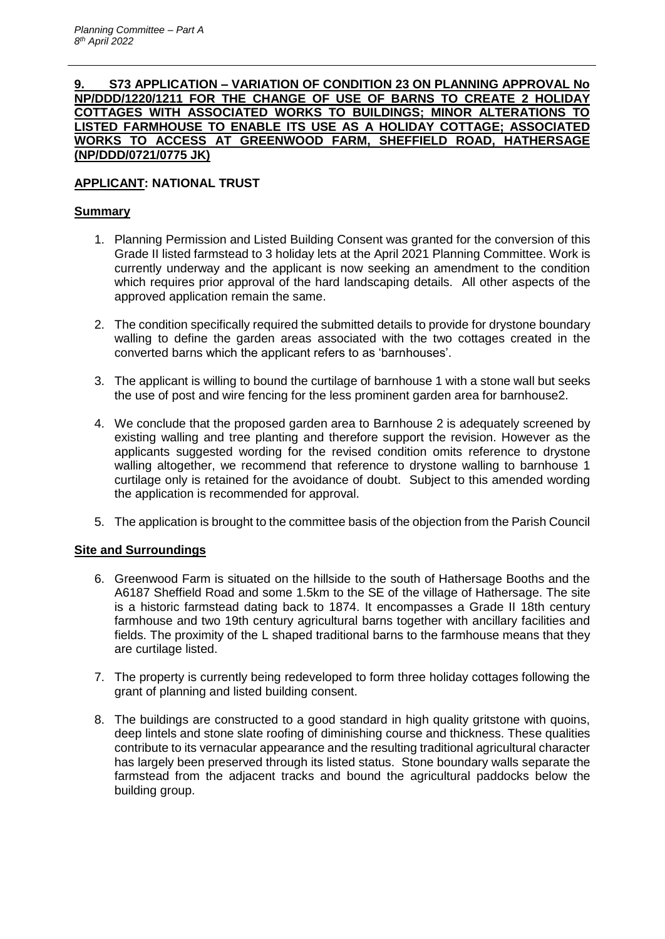## **9. S73 APPLICATION – VARIATION OF CONDITION 23 ON PLANNING APPROVAL No NP/DDD/1220/1211 FOR THE CHANGE OF USE OF BARNS TO CREATE 2 HOLIDAY COTTAGES WITH ASSOCIATED WORKS TO BUILDINGS; MINOR ALTERATIONS TO LISTED FARMHOUSE TO ENABLE ITS USE AS A HOLIDAY COTTAGE; ASSOCIATED WORKS TO ACCESS AT GREENWOOD FARM, SHEFFIELD ROAD, HATHERSAGE (NP/DDD/0721/0775 JK)**

# **APPLICANT: NATIONAL TRUST**

# **Summary**

- 1. Planning Permission and Listed Building Consent was granted for the conversion of this Grade II listed farmstead to 3 holiday lets at the April 2021 Planning Committee. Work is currently underway and the applicant is now seeking an amendment to the condition which requires prior approval of the hard landscaping details. All other aspects of the approved application remain the same.
- 2. The condition specifically required the submitted details to provide for drystone boundary walling to define the garden areas associated with the two cottages created in the converted barns which the applicant refers to as 'barnhouses'.
- 3. The applicant is willing to bound the curtilage of barnhouse 1 with a stone wall but seeks the use of post and wire fencing for the less prominent garden area for barnhouse2.
- 4. We conclude that the proposed garden area to Barnhouse 2 is adequately screened by existing walling and tree planting and therefore support the revision. However as the applicants suggested wording for the revised condition omits reference to drystone walling altogether, we recommend that reference to drystone walling to barnhouse 1 curtilage only is retained for the avoidance of doubt. Subject to this amended wording the application is recommended for approval.
- 5. The application is brought to the committee basis of the objection from the Parish Council

# **Site and Surroundings**

- 6. Greenwood Farm is situated on the hillside to the south of Hathersage Booths and the A6187 Sheffield Road and some 1.5km to the SE of the village of Hathersage. The site is a historic farmstead dating back to 1874. It encompasses a Grade II 18th century farmhouse and two 19th century agricultural barns together with ancillary facilities and fields. The proximity of the L shaped traditional barns to the farmhouse means that they are curtilage listed.
- 7. The property is currently being redeveloped to form three holiday cottages following the grant of planning and listed building consent.
- 8. The buildings are constructed to a good standard in high quality gritstone with quoins, deep lintels and stone slate roofing of diminishing course and thickness. These qualities contribute to its vernacular appearance and the resulting traditional agricultural character has largely been preserved through its listed status. Stone boundary walls separate the farmstead from the adjacent tracks and bound the agricultural paddocks below the building group.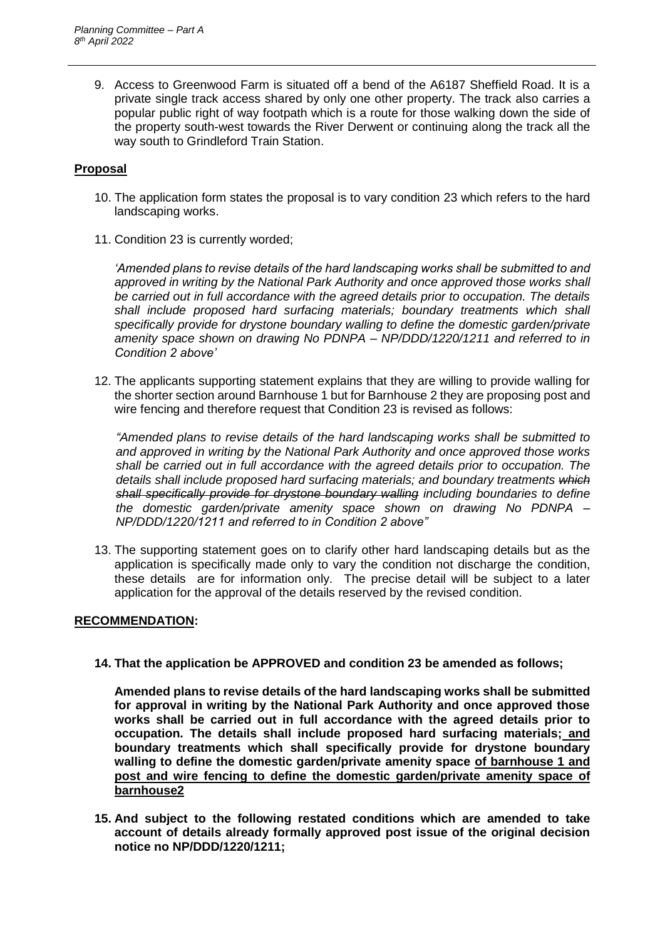9. Access to Greenwood Farm is situated off a bend of the A6187 Sheffield Road. It is a private single track access shared by only one other property. The track also carries a popular public right of way footpath which is a route for those walking down the side of the property south-west towards the River Derwent or continuing along the track all the way south to Grindleford Train Station.

## **Proposal**

- 10. The application form states the proposal is to vary condition 23 which refers to the hard landscaping works.
- 11. Condition 23 is currently worded;

*'Amended plans to revise details of the hard landscaping works shall be submitted to and approved in writing by the National Park Authority and once approved those works shall be carried out in full accordance with the agreed details prior to occupation. The details*  shall include proposed hard surfacing materials; boundary treatments which shall *specifically provide for drystone boundary walling to define the domestic garden/private amenity space shown on drawing No PDNPA – NP/DDD/1220/1211 and referred to in Condition 2 above'*

12. The applicants supporting statement explains that they are willing to provide walling for the shorter section around Barnhouse 1 but for Barnhouse 2 they are proposing post and wire fencing and therefore request that Condition 23 is revised as follows:

*"Amended plans to revise details of the hard landscaping works shall be submitted to and approved in writing by the National Park Authority and once approved those works shall be carried out in full accordance with the agreed details prior to occupation. The details shall include proposed hard surfacing materials; and boundary treatments which shall specifically provide for drystone boundary walling including boundaries to define the domestic garden/private amenity space shown on drawing No PDNPA – NP/DDD/1220/1211 and referred to in Condition 2 above"*

13. The supporting statement goes on to clarify other hard landscaping details but as the application is specifically made only to vary the condition not discharge the condition, these details are for information only. The precise detail will be subject to a later application for the approval of the details reserved by the revised condition.

## **RECOMMENDATION:**

**14. That the application be APPROVED and condition 23 be amended as follows;**

**Amended plans to revise details of the hard landscaping works shall be submitted for approval in writing by the National Park Authority and once approved those works shall be carried out in full accordance with the agreed details prior to occupation. The details shall include proposed hard surfacing materials; and boundary treatments which shall specifically provide for drystone boundary walling to define the domestic garden/private amenity space of barnhouse 1 and post and wire fencing to define the domestic garden/private amenity space of barnhouse2**

**15. And subject to the following restated conditions which are amended to take account of details already formally approved post issue of the original decision notice no NP/DDD/1220/1211;**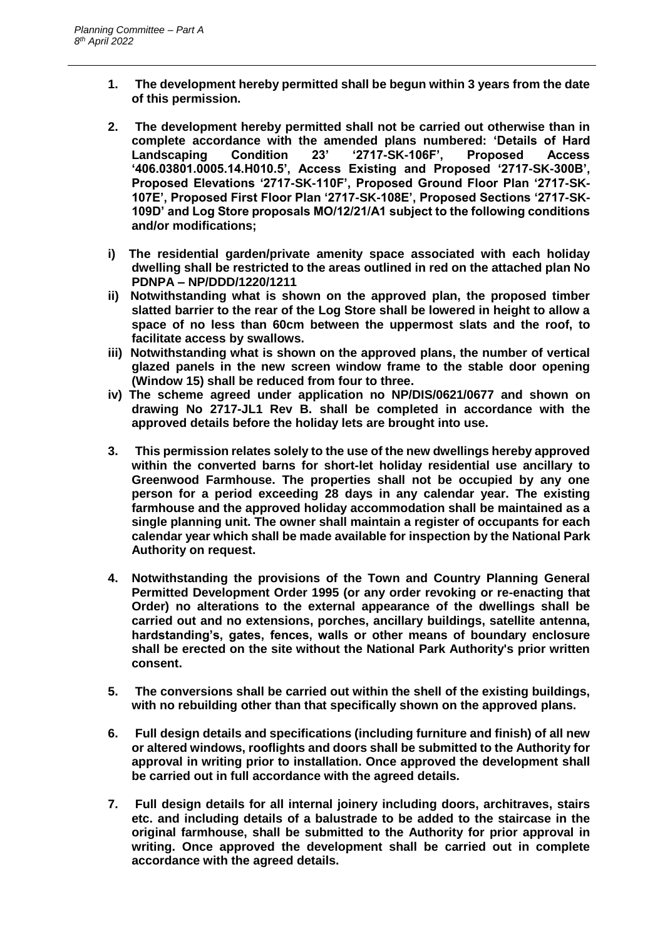- **1. The development hereby permitted shall be begun within 3 years from the date of this permission.**
- **2. The development hereby permitted shall not be carried out otherwise than in complete accordance with the amended plans numbered: 'Details of Hard Landscaping Condition 23' '2717-SK-106F', Proposed Access '406.03801.0005.14.H010.5', Access Existing and Proposed '2717-SK-300B', Proposed Elevations '2717-SK-110F', Proposed Ground Floor Plan '2717-SK-107E', Proposed First Floor Plan '2717-SK-108E', Proposed Sections '2717-SK-109D' and Log Store proposals MO/12/21/A1 subject to the following conditions and/or modifications;**
- **i) The residential garden/private amenity space associated with each holiday dwelling shall be restricted to the areas outlined in red on the attached plan No PDNPA – NP/DDD/1220/1211**
- **ii) Notwithstanding what is shown on the approved plan, the proposed timber slatted barrier to the rear of the Log Store shall be lowered in height to allow a space of no less than 60cm between the uppermost slats and the roof, to facilitate access by swallows.**
- **iii) Notwithstanding what is shown on the approved plans, the number of vertical glazed panels in the new screen window frame to the stable door opening (Window 15) shall be reduced from four to three.**
- **iv) The scheme agreed under application no NP/DIS/0621/0677 and shown on drawing No 2717-JL1 Rev B. shall be completed in accordance with the approved details before the holiday lets are brought into use.**
- **3. This permission relates solely to the use of the new dwellings hereby approved within the converted barns for short-let holiday residential use ancillary to Greenwood Farmhouse. The properties shall not be occupied by any one person for a period exceeding 28 days in any calendar year. The existing farmhouse and the approved holiday accommodation shall be maintained as a single planning unit. The owner shall maintain a register of occupants for each calendar year which shall be made available for inspection by the National Park Authority on request.**
- **4. Notwithstanding the provisions of the Town and Country Planning General Permitted Development Order 1995 (or any order revoking or re-enacting that Order) no alterations to the external appearance of the dwellings shall be carried out and no extensions, porches, ancillary buildings, satellite antenna, hardstanding's, gates, fences, walls or other means of boundary enclosure shall be erected on the site without the National Park Authority's prior written consent.**
- **5. The conversions shall be carried out within the shell of the existing buildings, with no rebuilding other than that specifically shown on the approved plans.**
- **6. Full design details and specifications (including furniture and finish) of all new or altered windows, rooflights and doors shall be submitted to the Authority for approval in writing prior to installation. Once approved the development shall be carried out in full accordance with the agreed details.**
- **7. Full design details for all internal joinery including doors, architraves, stairs etc. and including details of a balustrade to be added to the staircase in the original farmhouse, shall be submitted to the Authority for prior approval in writing. Once approved the development shall be carried out in complete accordance with the agreed details.**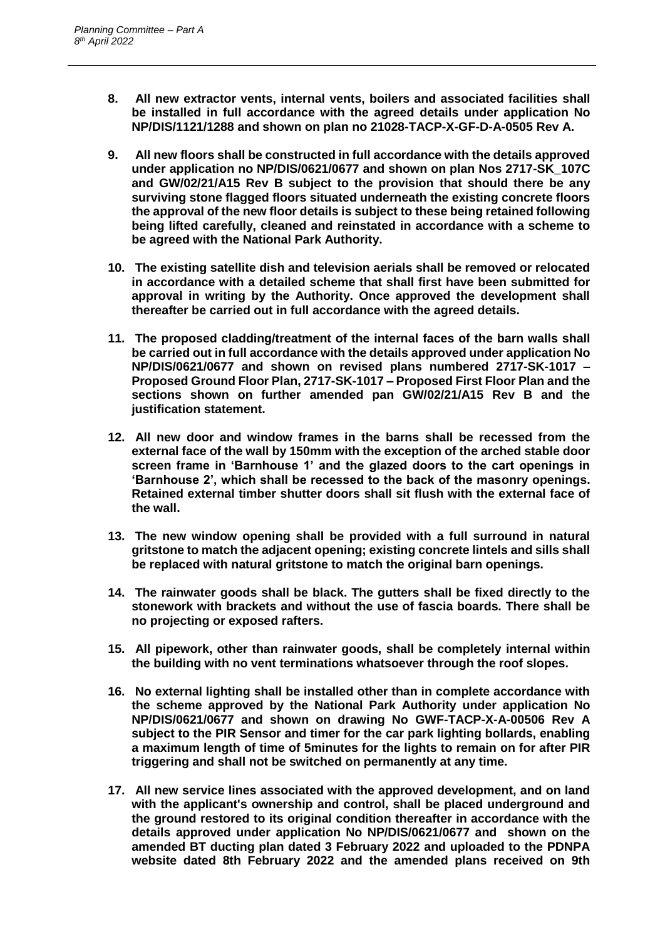- **8. All new extractor vents, internal vents, boilers and associated facilities shall be installed in full accordance with the agreed details under application No NP/DIS/1121/1288 and shown on plan no 21028-TACP-X-GF-D-A-0505 Rev A.**
- **9. All new floors shall be constructed in full accordance with the details approved under application no NP/DIS/0621/0677 and shown on plan Nos 2717-SK\_107C and GW/02/21/A15 Rev B subject to the provision that should there be any surviving stone flagged floors situated underneath the existing concrete floors the approval of the new floor details is subject to these being retained following being lifted carefully, cleaned and reinstated in accordance with a scheme to be agreed with the National Park Authority.**
- **10. The existing satellite dish and television aerials shall be removed or relocated in accordance with a detailed scheme that shall first have been submitted for approval in writing by the Authority. Once approved the development shall thereafter be carried out in full accordance with the agreed details.**
- **11. The proposed cladding/treatment of the internal faces of the barn walls shall be carried out in full accordance with the details approved under application No NP/DIS/0621/0677 and shown on revised plans numbered 2717-SK-1017 – Proposed Ground Floor Plan, 2717-SK-1017 – Proposed First Floor Plan and the sections shown on further amended pan GW/02/21/A15 Rev B and the justification statement.**
- **12. All new door and window frames in the barns shall be recessed from the external face of the wall by 150mm with the exception of the arched stable door screen frame in 'Barnhouse 1' and the glazed doors to the cart openings in 'Barnhouse 2', which shall be recessed to the back of the masonry openings. Retained external timber shutter doors shall sit flush with the external face of the wall.**
- **13. The new window opening shall be provided with a full surround in natural gritstone to match the adjacent opening; existing concrete lintels and sills shall be replaced with natural gritstone to match the original barn openings.**
- **14. The rainwater goods shall be black. The gutters shall be fixed directly to the stonework with brackets and without the use of fascia boards. There shall be no projecting or exposed rafters.**
- **15. All pipework, other than rainwater goods, shall be completely internal within the building with no vent terminations whatsoever through the roof slopes.**
- **16. No external lighting shall be installed other than in complete accordance with the scheme approved by the National Park Authority under application No NP/DIS/0621/0677 and shown on drawing No GWF-TACP-X-A-00506 Rev A subject to the PIR Sensor and timer for the car park lighting bollards, enabling a maximum length of time of 5minutes for the lights to remain on for after PIR triggering and shall not be switched on permanently at any time.**
- **17. All new service lines associated with the approved development, and on land with the applicant's ownership and control, shall be placed underground and the ground restored to its original condition thereafter in accordance with the details approved under application No NP/DIS/0621/0677 and shown on the amended BT ducting plan dated 3 February 2022 and uploaded to the PDNPA website dated 8th February 2022 and the amended plans received on 9th**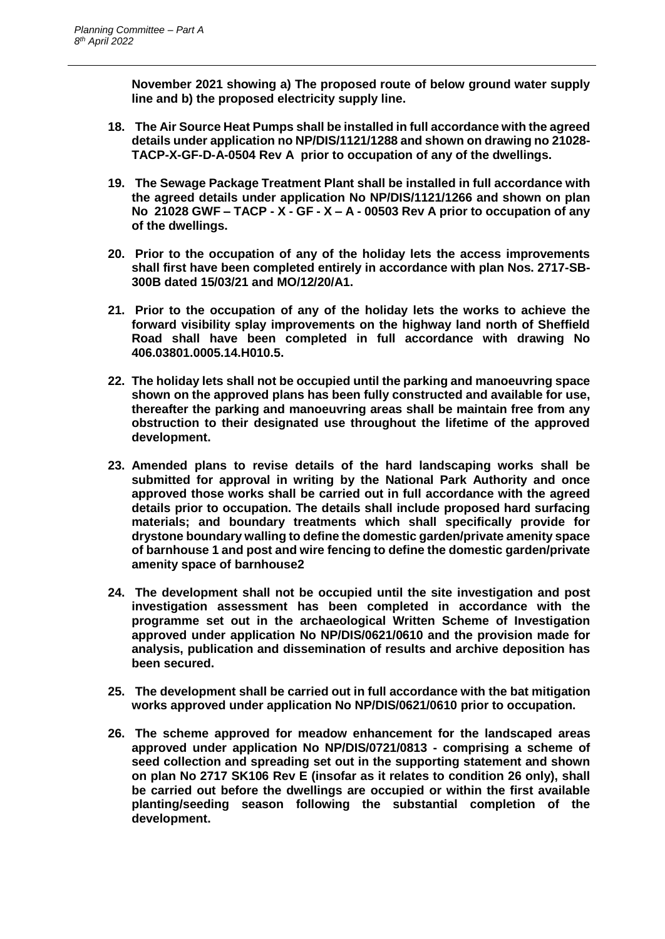**November 2021 showing a) The proposed route of below ground water supply line and b) the proposed electricity supply line.** 

- **18. The Air Source Heat Pumps shall be installed in full accordance with the agreed details under application no NP/DIS/1121/1288 and shown on drawing no 21028- TACP-X-GF-D-A-0504 Rev A prior to occupation of any of the dwellings.**
- **19. The Sewage Package Treatment Plant shall be installed in full accordance with the agreed details under application No NP/DIS/1121/1266 and shown on plan No 21028 GWF – TACP - X - GF - X – A - 00503 Rev A prior to occupation of any of the dwellings.**
- **20. Prior to the occupation of any of the holiday lets the access improvements shall first have been completed entirely in accordance with plan Nos. 2717-SB-300B dated 15/03/21 and MO/12/20/A1.**
- **21. Prior to the occupation of any of the holiday lets the works to achieve the forward visibility splay improvements on the highway land north of Sheffield Road shall have been completed in full accordance with drawing No 406.03801.0005.14.H010.5.**
- **22. The holiday lets shall not be occupied until the parking and manoeuvring space shown on the approved plans has been fully constructed and available for use, thereafter the parking and manoeuvring areas shall be maintain free from any obstruction to their designated use throughout the lifetime of the approved development.**
- **23. Amended plans to revise details of the hard landscaping works shall be submitted for approval in writing by the National Park Authority and once approved those works shall be carried out in full accordance with the agreed details prior to occupation. The details shall include proposed hard surfacing materials; and boundary treatments which shall specifically provide for drystone boundary walling to define the domestic garden/private amenity space of barnhouse 1 and post and wire fencing to define the domestic garden/private amenity space of barnhouse2**
- **24. The development shall not be occupied until the site investigation and post investigation assessment has been completed in accordance with the programme set out in the archaeological Written Scheme of Investigation approved under application No NP/DIS/0621/0610 and the provision made for analysis, publication and dissemination of results and archive deposition has been secured.**
- **25. The development shall be carried out in full accordance with the bat mitigation works approved under application No NP/DIS/0621/0610 prior to occupation.**
- **26. The scheme approved for meadow enhancement for the landscaped areas approved under application No NP/DIS/0721/0813 - comprising a scheme of seed collection and spreading set out in the supporting statement and shown on plan No 2717 SK106 Rev E (insofar as it relates to condition 26 only), shall be carried out before the dwellings are occupied or within the first available planting/seeding season following the substantial completion of the development.**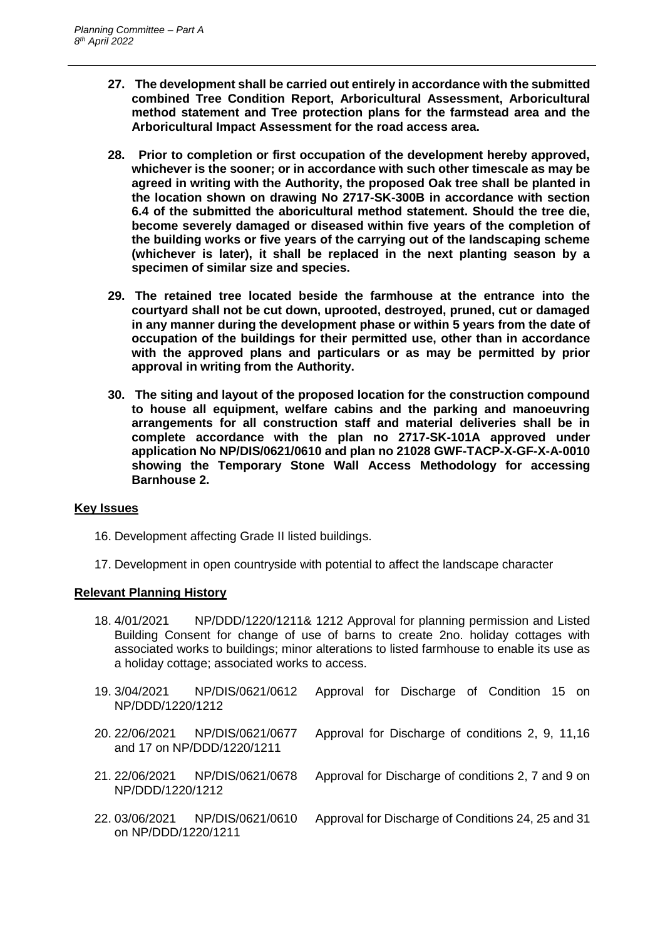- **27. The development shall be carried out entirely in accordance with the submitted combined Tree Condition Report, Arboricultural Assessment, Arboricultural method statement and Tree protection plans for the farmstead area and the Arboricultural Impact Assessment for the road access area.**
- **28. Prior to completion or first occupation of the development hereby approved, whichever is the sooner; or in accordance with such other timescale as may be agreed in writing with the Authority, the proposed Oak tree shall be planted in the location shown on drawing No 2717-SK-300B in accordance with section 6.4 of the submitted the aboricultural method statement. Should the tree die, become severely damaged or diseased within five years of the completion of the building works or five years of the carrying out of the landscaping scheme (whichever is later), it shall be replaced in the next planting season by a specimen of similar size and species.**
- **29. The retained tree located beside the farmhouse at the entrance into the courtyard shall not be cut down, uprooted, destroyed, pruned, cut or damaged in any manner during the development phase or within 5 years from the date of occupation of the buildings for their permitted use, other than in accordance with the approved plans and particulars or as may be permitted by prior approval in writing from the Authority.**
- **30. The siting and layout of the proposed location for the construction compound to house all equipment, welfare cabins and the parking and manoeuvring arrangements for all construction staff and material deliveries shall be in complete accordance with the plan no 2717-SK-101A approved under application No NP/DIS/0621/0610 and plan no 21028 GWF-TACP-X-GF-X-A-0010 showing the Temporary Stone Wall Access Methodology for accessing Barnhouse 2.**

## **Key Issues**

- 16. Development affecting Grade II listed buildings.
- 17. Development in open countryside with potential to affect the landscape character

## **Relevant Planning History**

- 18. 4/01/2021 NP/DDD/1220/1211& 1212 Approval for planning permission and Listed Building Consent for change of use of barns to create 2no. holiday cottages with associated works to buildings; minor alterations to listed farmhouse to enable its use as a holiday cottage; associated works to access.
- 19. 3/04/2021 NP/DIS/0621/0612 Approval for Discharge of Condition 15 on NP/DDD/1220/1212 20. 22/06/2021 NP/DIS/0621/0677 Approval for Discharge of conditions 2, 9, 11,16 and 17 on NP/DDD/1220/1211
- 21. 22/06/2021 NP/DIS/0621/0678 Approval for Discharge of conditions 2, 7 and 9 on NP/DDD/1220/1212
- 22. 03/06/2021 NP/DIS/0621/0610 Approval for Discharge of Conditions 24, 25 and 31 on NP/DDD/1220/1211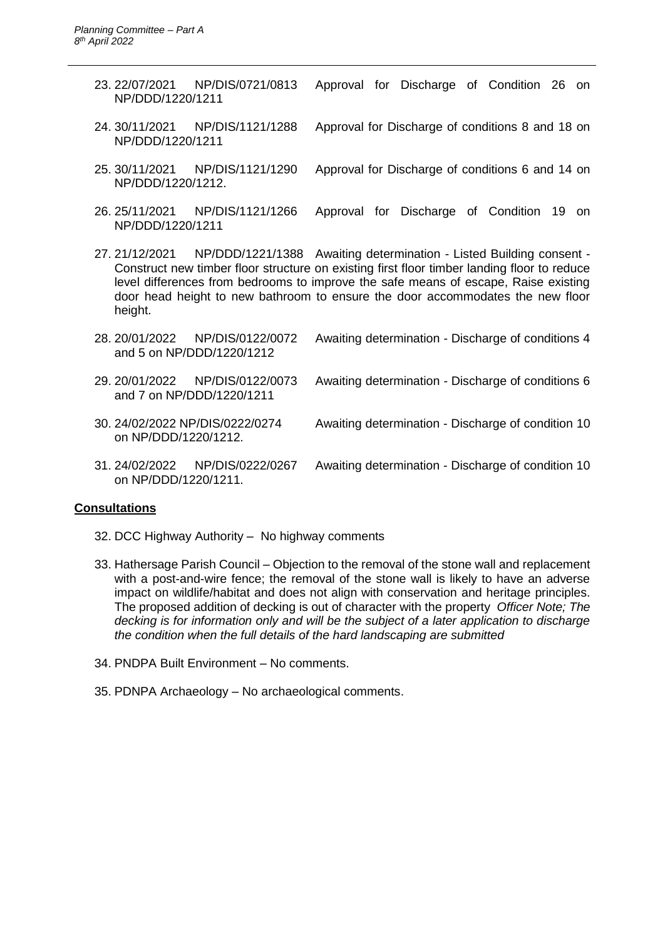- 23. 22/07/2021 NP/DIS/0721/0813 Approval for Discharge of Condition 26 on NP/DDD/1220/1211
- 24. 30/11/2021 NP/DIS/1121/1288 Approval for Discharge of conditions 8 and 18 on NP/DDD/1220/1211
- 25. 30/11/2021 NP/DIS/1121/1290 Approval for Discharge of conditions 6 and 14 on NP/DDD/1220/1212.
- 26. 25/11/2021 NP/DIS/1121/1266 Approval for Discharge of Condition 19 on NP/DDD/1220/1211
- 27. 21/12/2021 NP/DDD/1221/1388 Awaiting determination Listed Building consent Construct new timber floor structure on existing first floor timber landing floor to reduce level differences from bedrooms to improve the safe means of escape, Raise existing door head height to new bathroom to ensure the door accommodates the new floor height.

|                      | 28.20/01/2022 NP/DIS/0122/0072<br>and 5 on NP/DDD/1220/1212  | Awaiting determination - Discharge of conditions 4 |
|----------------------|--------------------------------------------------------------|----------------------------------------------------|
|                      | 29. 20/01/2022 NP/DIS/0122/0073<br>and 7 on NP/DDD/1220/1211 | Awaiting determination - Discharge of conditions 6 |
| on NP/DDD/1220/1212. | 30. 24/02/2022 NP/DIS/0222/0274                              | Awaiting determination - Discharge of condition 10 |
| on NP/DDD/1220/1211. | 31.24/02/2022 NP/DIS/0222/0267                               | Awaiting determination - Discharge of condition 10 |

#### **Consultations**

- 32. DCC Highway Authority No highway comments
- 33. Hathersage Parish Council Objection to the removal of the stone wall and replacement with a post-and-wire fence; the removal of the stone wall is likely to have an adverse impact on wildlife/habitat and does not align with conservation and heritage principles. The proposed addition of decking is out of character with the property *Officer Note; The decking is for information only and will be the subject of a later application to discharge the condition when the full details of the hard landscaping are submitted*
- 34. PNDPA Built Environment No comments.
- 35. PDNPA Archaeology No archaeological comments.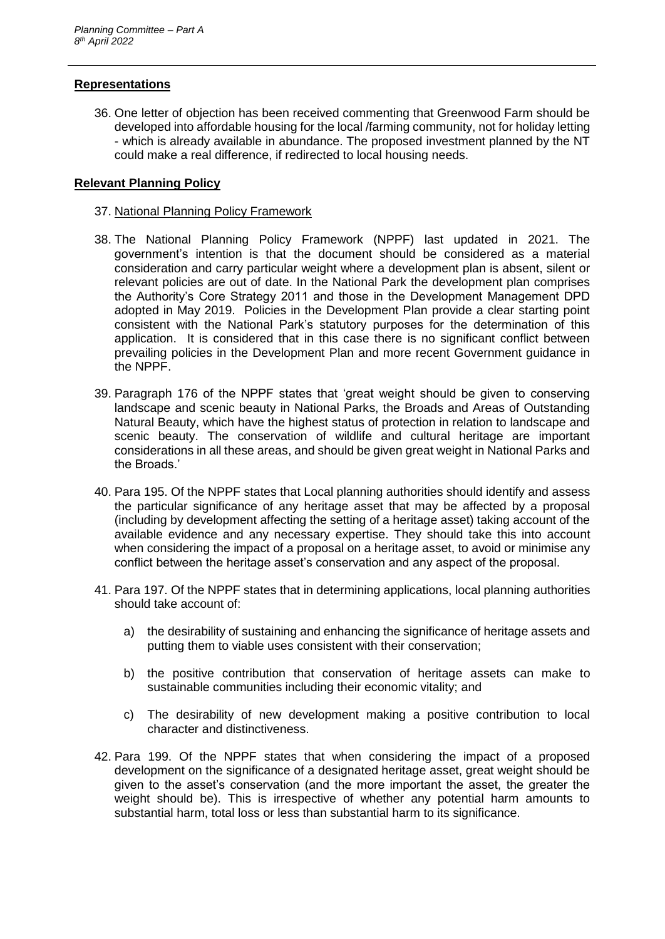## **Representations**

36. One letter of objection has been received commenting that Greenwood Farm should be developed into affordable housing for the local /farming community, not for holiday letting - which is already available in abundance. The proposed investment planned by the NT could make a real difference, if redirected to local housing needs.

## **Relevant Planning Policy**

### 37. National Planning Policy Framework

- 38. The National Planning Policy Framework (NPPF) last updated in 2021. The government's intention is that the document should be considered as a material consideration and carry particular weight where a development plan is absent, silent or relevant policies are out of date. In the National Park the development plan comprises the Authority's Core Strategy 2011 and those in the Development Management DPD adopted in May 2019. Policies in the Development Plan provide a clear starting point consistent with the National Park's statutory purposes for the determination of this application. It is considered that in this case there is no significant conflict between prevailing policies in the Development Plan and more recent Government guidance in the NPPF.
- 39. Paragraph 176 of the NPPF states that 'great weight should be given to conserving landscape and scenic beauty in National Parks, the Broads and Areas of Outstanding Natural Beauty, which have the highest status of protection in relation to landscape and scenic beauty. The conservation of wildlife and cultural heritage are important considerations in all these areas, and should be given great weight in National Parks and the Broads.'
- 40. Para 195. Of the NPPF states that Local planning authorities should identify and assess the particular significance of any heritage asset that may be affected by a proposal (including by development affecting the setting of a heritage asset) taking account of the available evidence and any necessary expertise. They should take this into account when considering the impact of a proposal on a heritage asset, to avoid or minimise any conflict between the heritage asset's conservation and any aspect of the proposal.
- 41. Para 197. Of the NPPF states that in determining applications, local planning authorities should take account of:
	- a) the desirability of sustaining and enhancing the significance of heritage assets and putting them to viable uses consistent with their conservation;
	- b) the positive contribution that conservation of heritage assets can make to sustainable communities including their economic vitality; and
	- c) The desirability of new development making a positive contribution to local character and distinctiveness.
- 42. Para 199. Of the NPPF states that when considering the impact of a proposed development on the significance of a designated heritage asset, great weight should be given to the asset's conservation (and the more important the asset, the greater the weight should be). This is irrespective of whether any potential harm amounts to substantial harm, total loss or less than substantial harm to its significance.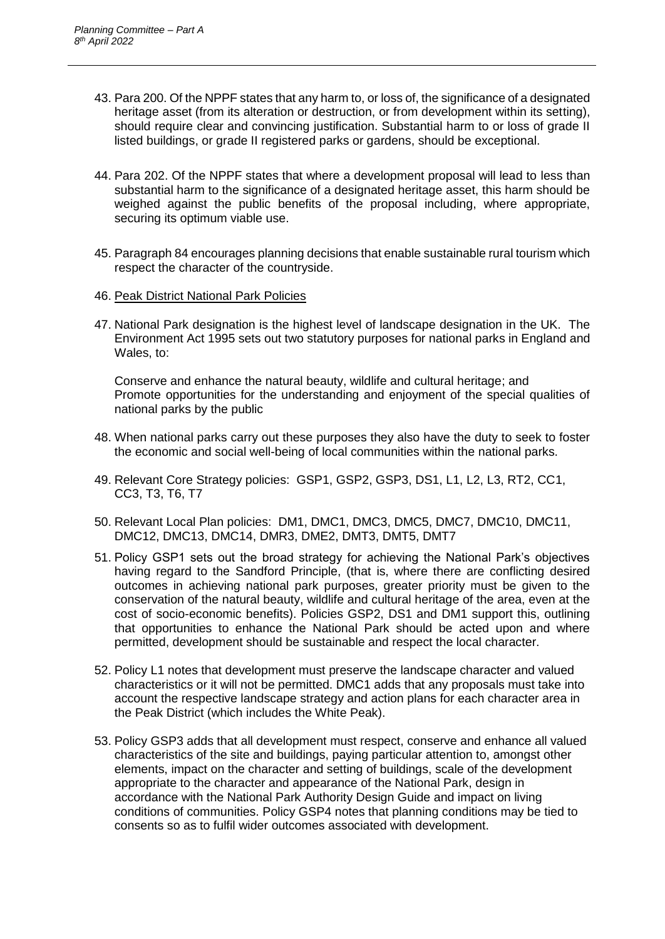- 43. Para 200. Of the NPPF states that any harm to, or loss of, the significance of a designated heritage asset (from its alteration or destruction, or from development within its setting), should require clear and convincing justification. Substantial harm to or loss of grade II listed buildings, or grade II registered parks or gardens, should be exceptional.
- 44. Para 202. Of the NPPF states that where a development proposal will lead to less than substantial harm to the significance of a designated heritage asset, this harm should be weighed against the public benefits of the proposal including, where appropriate, securing its optimum viable use.
- 45. Paragraph 84 encourages planning decisions that enable sustainable rural tourism which respect the character of the countryside.
- 46. Peak District National Park Policies
- 47. National Park designation is the highest level of landscape designation in the UK. The Environment Act 1995 sets out two statutory purposes for national parks in England and Wales, to:

Conserve and enhance the natural beauty, wildlife and cultural heritage; and Promote opportunities for the understanding and enjoyment of the special qualities of national parks by the public

- 48. When national parks carry out these purposes they also have the duty to seek to foster the economic and social well-being of local communities within the national parks.
- 49. Relevant Core Strategy policies: GSP1, GSP2, GSP3, DS1, L1, L2, L3, RT2, CC1, CC3, T3, T6, T7
- 50. Relevant Local Plan policies: DM1, DMC1, DMC3, DMC5, DMC7, DMC10, DMC11, DMC12, DMC13, DMC14, DMR3, DME2, DMT3, DMT5, DMT7
- 51. Policy GSP1 sets out the broad strategy for achieving the National Park's objectives having regard to the Sandford Principle, (that is, where there are conflicting desired outcomes in achieving national park purposes, greater priority must be given to the conservation of the natural beauty, wildlife and cultural heritage of the area, even at the cost of socio-economic benefits). Policies GSP2, DS1 and DM1 support this, outlining that opportunities to enhance the National Park should be acted upon and where permitted, development should be sustainable and respect the local character.
- 52. Policy L1 notes that development must preserve the landscape character and valued characteristics or it will not be permitted. DMC1 adds that any proposals must take into account the respective landscape strategy and action plans for each character area in the Peak District (which includes the White Peak).
- 53. Policy GSP3 adds that all development must respect, conserve and enhance all valued characteristics of the site and buildings, paying particular attention to, amongst other elements, impact on the character and setting of buildings, scale of the development appropriate to the character and appearance of the National Park, design in accordance with the National Park Authority Design Guide and impact on living conditions of communities. Policy GSP4 notes that planning conditions may be tied to consents so as to fulfil wider outcomes associated with development.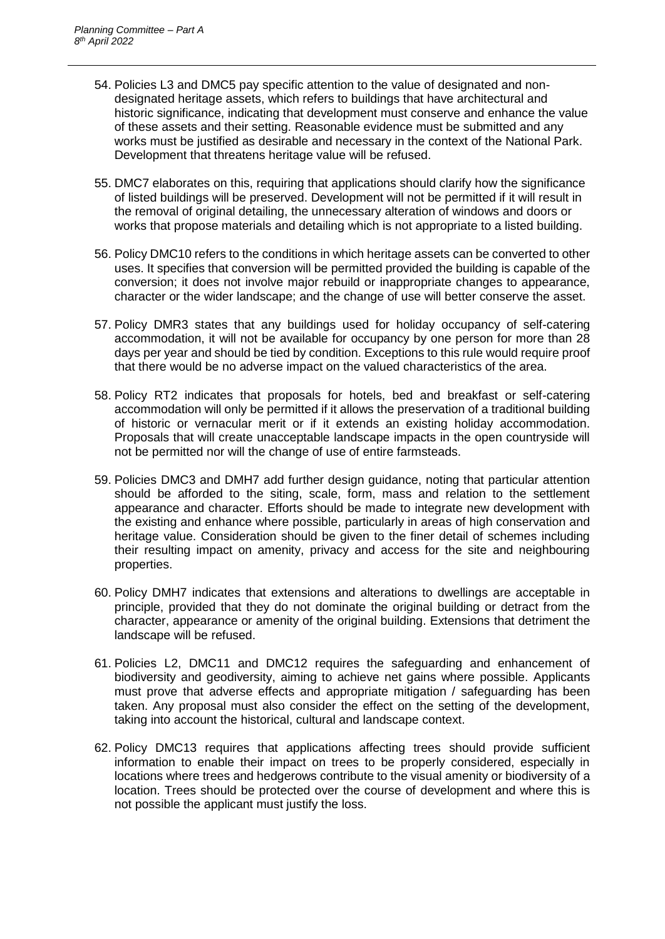- 54. Policies L3 and DMC5 pay specific attention to the value of designated and nondesignated heritage assets, which refers to buildings that have architectural and historic significance, indicating that development must conserve and enhance the value of these assets and their setting. Reasonable evidence must be submitted and any works must be justified as desirable and necessary in the context of the National Park. Development that threatens heritage value will be refused.
- 55. DMC7 elaborates on this, requiring that applications should clarify how the significance of listed buildings will be preserved. Development will not be permitted if it will result in the removal of original detailing, the unnecessary alteration of windows and doors or works that propose materials and detailing which is not appropriate to a listed building.
- 56. Policy DMC10 refers to the conditions in which heritage assets can be converted to other uses. It specifies that conversion will be permitted provided the building is capable of the conversion; it does not involve major rebuild or inappropriate changes to appearance, character or the wider landscape; and the change of use will better conserve the asset.
- 57. Policy DMR3 states that any buildings used for holiday occupancy of self-catering accommodation, it will not be available for occupancy by one person for more than 28 days per year and should be tied by condition. Exceptions to this rule would require proof that there would be no adverse impact on the valued characteristics of the area.
- 58. Policy RT2 indicates that proposals for hotels, bed and breakfast or self-catering accommodation will only be permitted if it allows the preservation of a traditional building of historic or vernacular merit or if it extends an existing holiday accommodation. Proposals that will create unacceptable landscape impacts in the open countryside will not be permitted nor will the change of use of entire farmsteads.
- 59. Policies DMC3 and DMH7 add further design guidance, noting that particular attention should be afforded to the siting, scale, form, mass and relation to the settlement appearance and character. Efforts should be made to integrate new development with the existing and enhance where possible, particularly in areas of high conservation and heritage value. Consideration should be given to the finer detail of schemes including their resulting impact on amenity, privacy and access for the site and neighbouring properties.
- 60. Policy DMH7 indicates that extensions and alterations to dwellings are acceptable in principle, provided that they do not dominate the original building or detract from the character, appearance or amenity of the original building. Extensions that detriment the landscape will be refused.
- 61. Policies L2, DMC11 and DMC12 requires the safeguarding and enhancement of biodiversity and geodiversity, aiming to achieve net gains where possible. Applicants must prove that adverse effects and appropriate mitigation / safeguarding has been taken. Any proposal must also consider the effect on the setting of the development, taking into account the historical, cultural and landscape context.
- 62. Policy DMC13 requires that applications affecting trees should provide sufficient information to enable their impact on trees to be properly considered, especially in locations where trees and hedgerows contribute to the visual amenity or biodiversity of a location. Trees should be protected over the course of development and where this is not possible the applicant must justify the loss.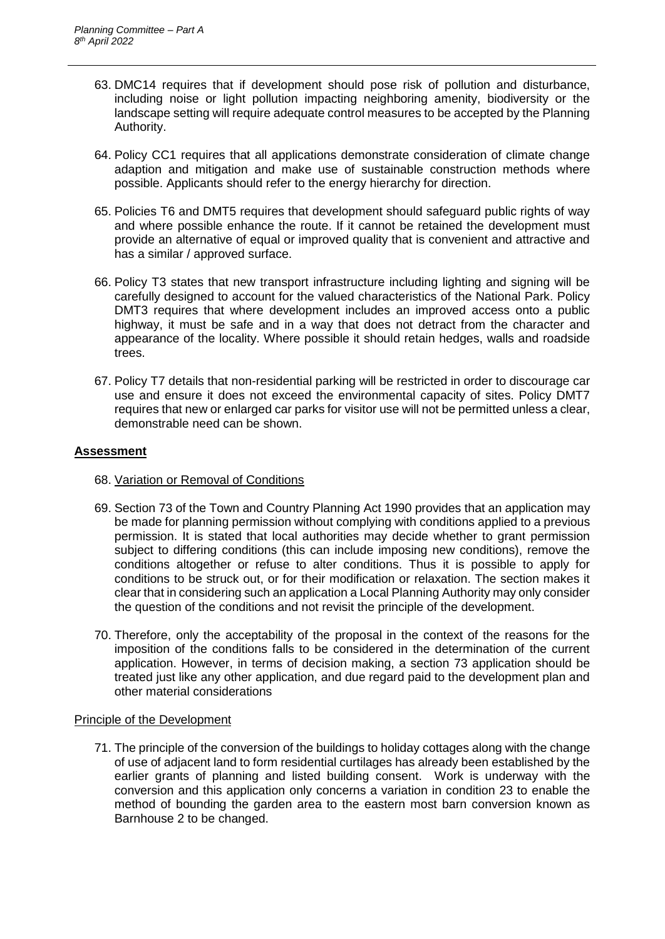- 63. DMC14 requires that if development should pose risk of pollution and disturbance, including noise or light pollution impacting neighboring amenity, biodiversity or the landscape setting will require adequate control measures to be accepted by the Planning Authority.
- 64. Policy CC1 requires that all applications demonstrate consideration of climate change adaption and mitigation and make use of sustainable construction methods where possible. Applicants should refer to the energy hierarchy for direction.
- 65. Policies T6 and DMT5 requires that development should safeguard public rights of way and where possible enhance the route. If it cannot be retained the development must provide an alternative of equal or improved quality that is convenient and attractive and has a similar / approved surface.
- 66. Policy T3 states that new transport infrastructure including lighting and signing will be carefully designed to account for the valued characteristics of the National Park. Policy DMT3 requires that where development includes an improved access onto a public highway, it must be safe and in a way that does not detract from the character and appearance of the locality. Where possible it should retain hedges, walls and roadside trees.
- 67. Policy T7 details that non-residential parking will be restricted in order to discourage car use and ensure it does not exceed the environmental capacity of sites. Policy DMT7 requires that new or enlarged car parks for visitor use will not be permitted unless a clear, demonstrable need can be shown.

## **Assessment**

- 68. Variation or Removal of Conditions
- 69. Section 73 of the Town and Country Planning Act 1990 provides that an application may be made for planning permission without complying with conditions applied to a previous permission. It is stated that local authorities may decide whether to grant permission subject to differing conditions (this can include imposing new conditions), remove the conditions altogether or refuse to alter conditions. Thus it is possible to apply for conditions to be struck out, or for their modification or relaxation. The section makes it clear that in considering such an application a Local Planning Authority may only consider the question of the conditions and not revisit the principle of the development.
- 70. Therefore, only the acceptability of the proposal in the context of the reasons for the imposition of the conditions falls to be considered in the determination of the current application. However, in terms of decision making, a section 73 application should be treated just like any other application, and due regard paid to the development plan and other material considerations

#### Principle of the Development

71. The principle of the conversion of the buildings to holiday cottages along with the change of use of adjacent land to form residential curtilages has already been established by the earlier grants of planning and listed building consent. Work is underway with the conversion and this application only concerns a variation in condition 23 to enable the method of bounding the garden area to the eastern most barn conversion known as Barnhouse 2 to be changed.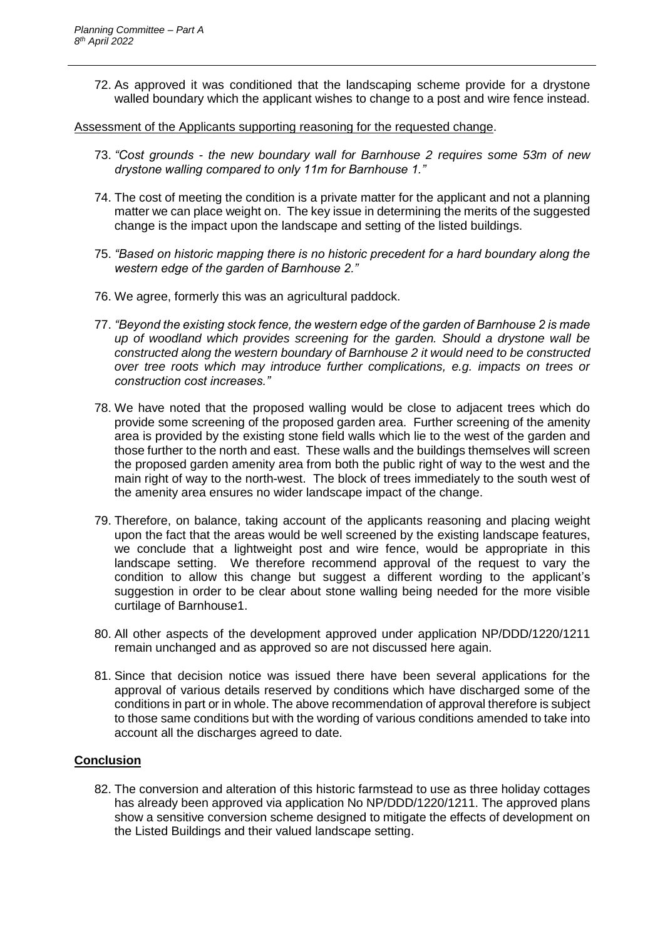72. As approved it was conditioned that the landscaping scheme provide for a drystone walled boundary which the applicant wishes to change to a post and wire fence instead.

Assessment of the Applicants supporting reasoning for the requested change.

- 73. *"Cost grounds - the new boundary wall for Barnhouse 2 requires some 53m of new drystone walling compared to only 11m for Barnhouse 1."*
- 74. The cost of meeting the condition is a private matter for the applicant and not a planning matter we can place weight on. The key issue in determining the merits of the suggested change is the impact upon the landscape and setting of the listed buildings.
- 75. *"Based on historic mapping there is no historic precedent for a hard boundary along the western edge of the garden of Barnhouse 2."*
- 76. We agree, formerly this was an agricultural paddock.
- 77. *"Beyond the existing stock fence, the western edge of the garden of Barnhouse 2 is made up of woodland which provides screening for the garden. Should a drystone wall be constructed along the western boundary of Barnhouse 2 it would need to be constructed over tree roots which may introduce further complications, e.g. impacts on trees or construction cost increases."*
- 78. We have noted that the proposed walling would be close to adjacent trees which do provide some screening of the proposed garden area. Further screening of the amenity area is provided by the existing stone field walls which lie to the west of the garden and those further to the north and east. These walls and the buildings themselves will screen the proposed garden amenity area from both the public right of way to the west and the main right of way to the north-west. The block of trees immediately to the south west of the amenity area ensures no wider landscape impact of the change.
- 79. Therefore, on balance, taking account of the applicants reasoning and placing weight upon the fact that the areas would be well screened by the existing landscape features, we conclude that a lightweight post and wire fence, would be appropriate in this landscape setting. We therefore recommend approval of the request to vary the condition to allow this change but suggest a different wording to the applicant's suggestion in order to be clear about stone walling being needed for the more visible curtilage of Barnhouse1.
- 80. All other aspects of the development approved under application NP/DDD/1220/1211 remain unchanged and as approved so are not discussed here again.
- 81. Since that decision notice was issued there have been several applications for the approval of various details reserved by conditions which have discharged some of the conditions in part or in whole. The above recommendation of approval therefore is subject to those same conditions but with the wording of various conditions amended to take into account all the discharges agreed to date.

## **Conclusion**

82. The conversion and alteration of this historic farmstead to use as three holiday cottages has already been approved via application No NP/DDD/1220/1211. The approved plans show a sensitive conversion scheme designed to mitigate the effects of development on the Listed Buildings and their valued landscape setting.